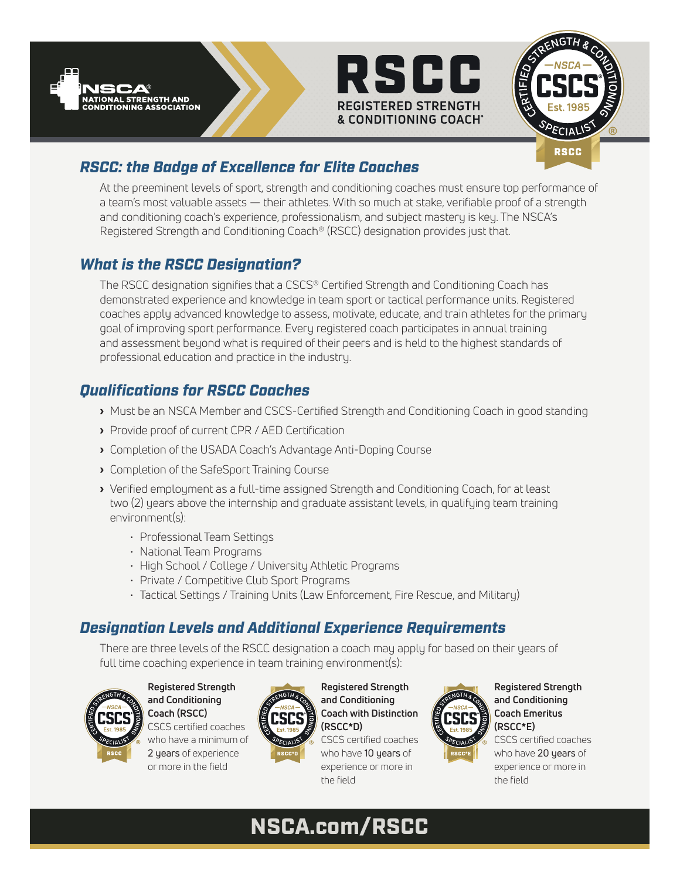





# *RSCC: the Badge of Excellence for Elite Coaches*

At the preeminent levels of sport, strength and conditioning coaches must ensure top performance of a team's most valuable assets — their athletes. With so much at stake, verifiable proof of a strength and conditioning coach's experience, professionalism, and subject mastery is key. The NSCA's Registered Strength and Conditioning Coach® (RSCC) designation provides just that.

# *What is the RSCC Designation?*

The RSCC designation signifies that a CSCS® Certified Strength and Conditioning Coach has demonstrated experience and knowledge in team sport or tactical performance units. Registered coaches apply advanced knowledge to assess, motivate, educate, and train athletes for the primary goal of improving sport performance. Every registered coach participates in annual training and assessment beyond what is required of their peers and is held to the highest standards of professional education and practice in the industry.

# *Qualifications for RSCC Coaches*

- › Must be an NSCA Member and CSCS-Certified Strength and Conditioning Coach in good standing
- › Provide proof of current CPR / AED Certification
- › Completion of the USADA Coach's Advantage Anti-Doping Course
- › Completion of the SafeSport Training Course
- › Verified employment as a full-time assigned Strength and Conditioning Coach, for at least two (2) years above the internship and graduate assistant levels, in qualifying team training environment(s):
	- Professional Team Settings
	- National Team Programs
	- High School / College / University Athletic Programs
	- Private / Competitive Club Sport Programs
	- Tactical Settings / Training Units (Law Enforcement, Fire Rescue, and Military)

# *Designation Levels and Additional Experience Requirements*

There are three levels of the RSCC designation a coach may apply for based on their years of full time coaching experience in team training environment(s):



**Registered Strength and Conditioning Coach (RSCC)** CSCS certified coaches who have a minimum of 2 years of experience or more in the field



**Registered Strength and Conditioning Coach with Distinction (RSCC\*D)** CSCS certified coaches

who have 10 years of experience or more in the field



**Registered Strength and Conditioning Coach Emeritus (RSCC\*E)**

CSCS certified coaches who have 20 years of experience or more in the field

# NSCA.com/RSCC